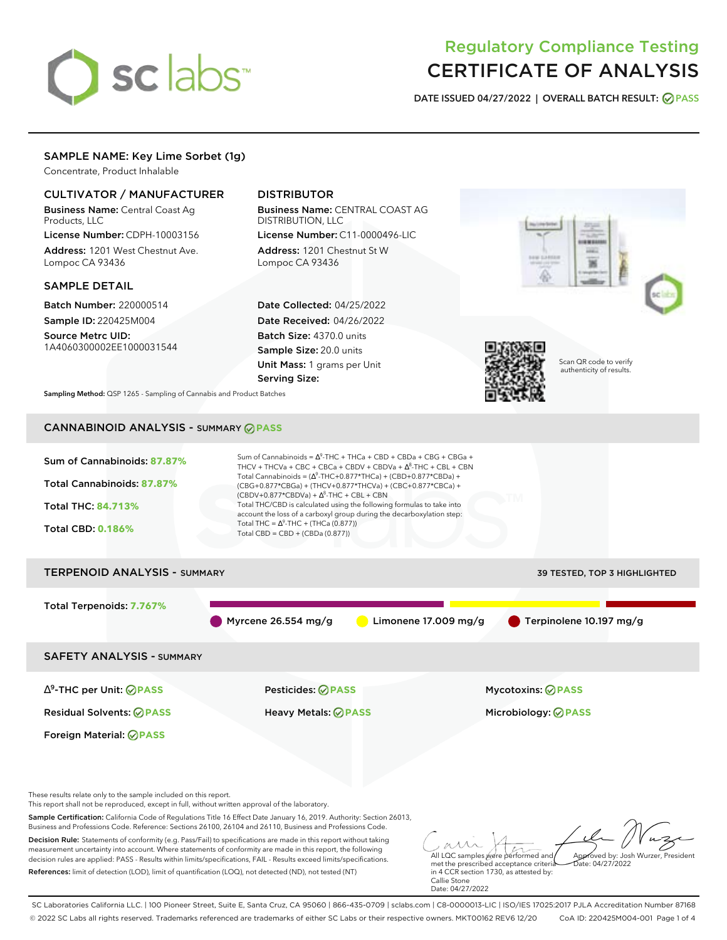# sclabs<sup>\*</sup>

# Regulatory Compliance Testing CERTIFICATE OF ANALYSIS

**DATE ISSUED 04/27/2022 | OVERALL BATCH RESULT: PASS**

# SAMPLE NAME: Key Lime Sorbet (1g)

Concentrate, Product Inhalable

# CULTIVATOR / MANUFACTURER

Business Name: Central Coast Ag Products, LLC

License Number: CDPH-10003156 Address: 1201 West Chestnut Ave. Lompoc CA 93436

# SAMPLE DETAIL

Batch Number: 220000514 Sample ID: 220425M004 Source Metrc UID:

1A4060300002EE1000031544

# DISTRIBUTOR

Business Name: CENTRAL COAST AG DISTRIBUTION, LLC License Number: C11-0000496-LIC

Address: 1201 Chestnut St W Lompoc CA 93436

Date Collected: 04/25/2022 Date Received: 04/26/2022 Batch Size: 4370.0 units Sample Size: 20.0 units Unit Mass: 1 grams per Unit Serving Size:



Scan QR code to verify authenticity of results.

**Sampling Method:** QSP 1265 - Sampling of Cannabis and Product Batches

# CANNABINOID ANALYSIS - SUMMARY **PASS**

| Sum of Cannabinoids: 87.87%<br>Total Cannabinoids: 87.87%<br>Total THC: 84.713%<br><b>Total CBD: 0.186%</b>                                                          | Sum of Cannabinoids = $\Delta^9$ -THC + THCa + CBD + CBDa + CBG + CBGa +<br>THCV + THCVa + CBC + CBCa + CBDV + CBDVa + $\Delta^8$ -THC + CBL + CBN<br>Total Cannabinoids = $(\Delta^9$ -THC+0.877*THCa) + (CBD+0.877*CBDa) +<br>(CBG+0.877*CBGa) + (THCV+0.877*THCVa) + (CBC+0.877*CBCa) +<br>$(CBDV+0.877*CBDVa) + \Delta^8$ -THC + CBL + CBN<br>Total THC/CBD is calculated using the following formulas to take into<br>account the loss of a carboxyl group during the decarboxylation step:<br>Total THC = $\Delta^9$ -THC + (THCa (0.877))<br>Total CBD = $CBD + (CBDa (0.877))$ |                                                   |
|----------------------------------------------------------------------------------------------------------------------------------------------------------------------|----------------------------------------------------------------------------------------------------------------------------------------------------------------------------------------------------------------------------------------------------------------------------------------------------------------------------------------------------------------------------------------------------------------------------------------------------------------------------------------------------------------------------------------------------------------------------------------|---------------------------------------------------|
| <b>TERPENOID ANALYSIS - SUMMARY</b>                                                                                                                                  |                                                                                                                                                                                                                                                                                                                                                                                                                                                                                                                                                                                        | 39 TESTED, TOP 3 HIGHLIGHTED                      |
| Total Terpenoids: 7.767%                                                                                                                                             | Myrcene $26.554$ mg/g                                                                                                                                                                                                                                                                                                                                                                                                                                                                                                                                                                  | Terpinolene 10.197 mg/g<br>Limonene $17.009$ mg/g |
| <b>SAFETY ANALYSIS - SUMMARY</b>                                                                                                                                     |                                                                                                                                                                                                                                                                                                                                                                                                                                                                                                                                                                                        |                                                   |
| $\Delta^9$ -THC per Unit: $\bigcirc$ PASS                                                                                                                            | <b>Pesticides: ⊘ PASS</b>                                                                                                                                                                                                                                                                                                                                                                                                                                                                                                                                                              | Mycotoxins: <b>⊘PASS</b>                          |
| <b>Residual Solvents: ⊘ PASS</b>                                                                                                                                     | <b>Heavy Metals: ⊘ PASS</b>                                                                                                                                                                                                                                                                                                                                                                                                                                                                                                                                                            | Microbiology: <b>⊘PASS</b>                        |
| Foreign Material: <b>⊘ PASS</b>                                                                                                                                      |                                                                                                                                                                                                                                                                                                                                                                                                                                                                                                                                                                                        |                                                   |
| These results relate only to the sample included on this report.<br>This report shall not be reproduced, except in full, without written approval of the laboratory. |                                                                                                                                                                                                                                                                                                                                                                                                                                                                                                                                                                                        |                                                   |

Sample Certification: California Code of Regulations Title 16 Effect Date January 16, 2019. Authority: Section 26013, Business and Professions Code. Reference: Sections 26100, 26104 and 26110, Business and Professions Code.

Decision Rule: Statements of conformity (e.g. Pass/Fail) to specifications are made in this report without taking measurement uncertainty into account. Where statements of conformity are made in this report, the following decision rules are applied: PASS - Results within limits/specifications, FAIL - Results exceed limits/specifications. References: limit of detection (LOD), limit of quantification (LOQ), not detected (ND), not tested (NT)

All LQC samples were performed and met the prescribed acceptance criteria Approved by: Josh Wurzer, President Date: 04/27/2022

in 4 CCR section 1730, as attested by: Callie Stone Date: 04/27/2022

SC Laboratories California LLC. | 100 Pioneer Street, Suite E, Santa Cruz, CA 95060 | 866-435-0709 | sclabs.com | C8-0000013-LIC | ISO/IES 17025:2017 PJLA Accreditation Number 87168 © 2022 SC Labs all rights reserved. Trademarks referenced are trademarks of either SC Labs or their respective owners. MKT00162 REV6 12/20 CoA ID: 220425M004-001 Page 1 of 4